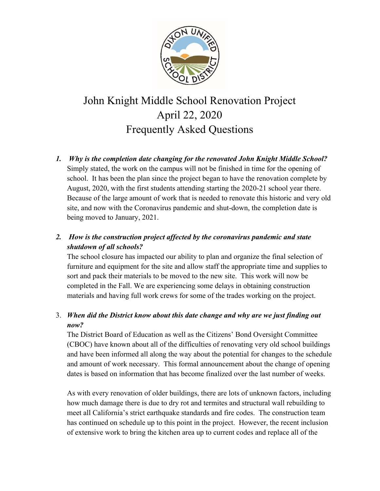

## John Knight Middle School Renovation Project April 22, 2020 Frequently Asked Questions

*1. Why is the completion date changing for the renovated John Knight Middle School?* Simply stated, the work on the campus will not be finished in time for the opening of school. It has been the plan since the project began to have the renovation complete by August, 2020, with the first students attending starting the 2020-21 school year there. Because of the large amount of work that is needed to renovate this historic and very old site, and now with the Coronavirus pandemic and shut-down, the completion date is being moved to January, 2021.

## *2. How is the construction project affected by the coronavirus pandemic and state shutdown of all schools?*

The school closure has impacted our ability to plan and organize the final selection of furniture and equipment for the site and allow staff the appropriate time and supplies to sort and pack their materials to be moved to the new site. This work will now be completed in the Fall. We are experiencing some delays in obtaining construction materials and having full work crews for some of the trades working on the project.

## 3. *When did the District know about this date change and why are we just finding out now?*

The District Board of Education as well as the Citizens' Bond Oversight Committee (CBOC) have known about all of the difficulties of renovating very old school buildings and have been informed all along the way about the potential for changes to the schedule and amount of work necessary. This formal announcement about the change of opening dates is based on information that has become finalized over the last number of weeks.

As with every renovation of older buildings, there are lots of unknown factors, including how much damage there is due to dry rot and termites and structural wall rebuilding to meet all California's strict earthquake standards and fire codes. The construction team has continued on schedule up to this point in the project. However, the recent inclusion of extensive work to bring the kitchen area up to current codes and replace all of the